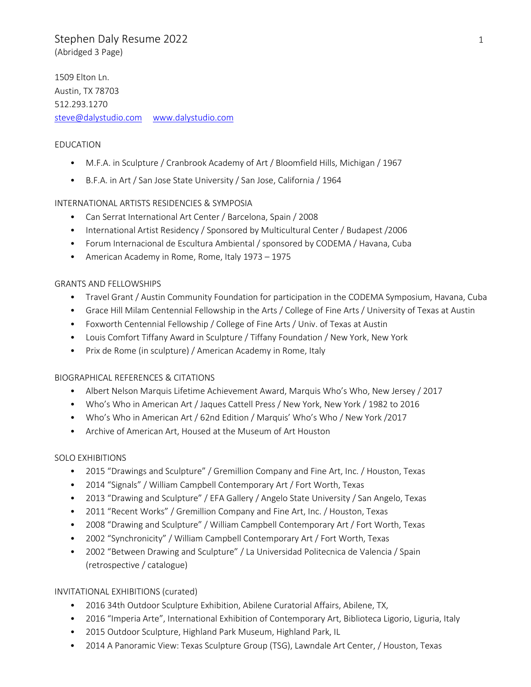# Stephen Daly Resume 2022 1 (Abridged 3 Page)

1509 Elton Ln. Austin, TX 78703 512.293.1270 [steve@dalystudio.com](mailto:steve@daly-studio.com) [www.dalystudio.com](http://www.dalystudio.com/)

### EDUCATION

- M.F.A. in Sculpture / Cranbrook Academy of Art / Bloomfield Hills, Michigan / 1967
- B.F.A. in Art / San Jose State University / San Jose, California / 1964

### INTERNATIONAL ARTISTS RESIDENCIES & SYMPOSIA

- Can Serrat International Art Center / Barcelona, Spain / 2008
- International Artist Residency / Sponsored by Multicultural Center / Budapest /2006
- Forum Internacional de Escultura Ambiental / sponsored by CODEMA / Havana, Cuba
- American Academy in Rome, Rome, Italy 1973 1975

### GRANTS AND FELLOWSHIPS

- Travel Grant / Austin Community Foundation for participation in the CODEMA Symposium, Havana, Cuba
- Grace Hill Milam Centennial Fellowship in the Arts / College of Fine Arts / University of Texas at Austin
- Foxworth Centennial Fellowship / College of Fine Arts / Univ. of Texas at Austin
- Louis Comfort Tiffany Award in Sculpture / Tiffany Foundation / New York, New York
- Prix de Rome (in sculpture) / American Academy in Rome, Italy

### BIOGRAPHICAL REFERENCES & CITATIONS

- Albert Nelson Marquis Lifetime Achievement Award, Marquis Who's Who, New Jersey / 2017
- Who's Who in American Art / Jaques Cattell Press / New York, New York / 1982 to 2016
- Who's Who in American Art / 62nd Edition / Marquis' Who's Who / New York /2017
- Archive of American Art, Housed at the Museum of Art Houston

### SOLO EXHIBITIONS

- 2015 "Drawings and Sculpture" / Gremillion Company and Fine Art, Inc. / Houston, Texas
- 2014 "Signals" / William Campbell Contemporary Art / Fort Worth, Texas
- 2013 "Drawing and Sculpture" / EFA Gallery / Angelo State University / San Angelo, Texas
- 2011 "Recent Works" / Gremillion Company and Fine Art, Inc. / Houston, Texas
- 2008 "Drawing and Sculpture" / William Campbell Contemporary Art / Fort Worth, Texas
- 2002 "Synchronicity" / William Campbell Contemporary Art / Fort Worth, Texas
- 2002 "Between Drawing and Sculpture" / La Universidad Politecnica de Valencia / Spain (retrospective / catalogue)

### INVITATIONAL EXHIBITIONS (curated)

- 2016 34th Outdoor Sculpture Exhibition, Abilene Curatorial Affairs, Abilene, TX,
- 2016 "Imperia Arte", International Exhibition of Contemporary Art, Biblioteca Ligorio, Liguria, Italy
- 2015 Outdoor Sculpture, Highland Park Museum, Highland Park, IL
- 2014 A Panoramic View: Texas Sculpture Group (TSG), Lawndale Art Center, / Houston, Texas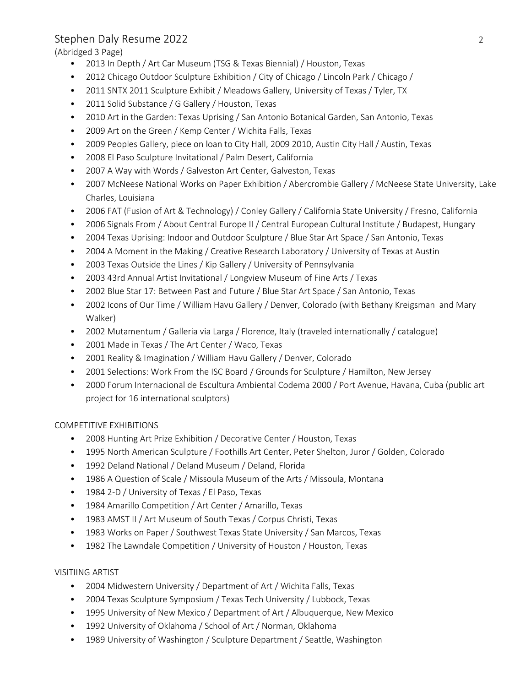# Stephen Daly Resume 2022 2

(Abridged 3 Page)

- 2013 In Depth / Art Car Museum (TSG & Texas Biennial) / Houston, Texas
- 2012 Chicago Outdoor Sculpture Exhibition / City of Chicago / Lincoln Park / Chicago /
- 2011 SNTX 2011 Sculpture Exhibit / Meadows Gallery, University of Texas / Tyler, TX
- 2011 Solid Substance / G Gallery / Houston, Texas
- 2010 Art in the Garden: Texas Uprising / San Antonio Botanical Garden, San Antonio, Texas
- 2009 Art on the Green / Kemp Center / Wichita Falls, Texas
- 2009 Peoples Gallery, piece on loan to City Hall, 2009 2010, Austin City Hall / Austin, Texas
- 2008 El Paso Sculpture Invitational / Palm Desert, California
- 2007 A Way with Words / Galveston Art Center, Galveston, Texas
- 2007 McNeese National Works on Paper Exhibition / Abercrombie Gallery / McNeese State University, Lake Charles, Louisiana
- 2006 FAT (Fusion of Art & Technology) / Conley Gallery / California State University / Fresno, California
- 2006 Signals From / About Central Europe II / Central European Cultural Institute / Budapest, Hungary
- 2004 Texas Uprising: Indoor and Outdoor Sculpture / Blue Star Art Space / San Antonio, Texas
- 2004 A Moment in the Making / Creative Research Laboratory / University of Texas at Austin
- 2003 Texas Outside the Lines / Kip Gallery / University of Pennsylvania
- 2003 43rd Annual Artist Invitational / Longview Museum of Fine Arts / Texas
- 2002 Blue Star 17: Between Past and Future / Blue Star Art Space / San Antonio, Texas
- 2002 Icons of Our Time / William Havu Gallery / Denver, Colorado (with Bethany Kreigsman and Mary Walker)
- 2002 Mutamentum / Galleria via Larga / Florence, Italy (traveled internationally / catalogue)
- 2001 Made in Texas / The Art Center / Waco, Texas
- 2001 Reality & Imagination / William Havu Gallery / Denver, Colorado
- 2001 Selections: Work From the ISC Board / Grounds for Sculpture / Hamilton, New Jersey
- 2000 Forum Internacional de Escultura Ambiental Codema 2000 / Port Avenue, Havana, Cuba (public art project for 16 international sculptors)

## COMPETITIVE EXHIBITIONS

- 2008 Hunting Art Prize Exhibition / Decorative Center / Houston, Texas
- 1995 North American Sculpture / Foothills Art Center, Peter Shelton, Juror / Golden, Colorado
- 1992 Deland National / Deland Museum / Deland, Florida
- 1986 A Question of Scale / Missoula Museum of the Arts / Missoula, Montana
- 1984 2-D / University of Texas / El Paso, Texas
- 1984 Amarillo Competition / Art Center / Amarillo, Texas
- 1983 AMST II / Art Museum of South Texas / Corpus Christi, Texas
- 1983 Works on Paper / Southwest Texas State University / San Marcos, Texas
- 1982 The Lawndale Competition / University of Houston / Houston, Texas

### VISITIING ARTIST

- 2004 Midwestern University / Department of Art / Wichita Falls, Texas
- 2004 Texas Sculpture Symposium / Texas Tech University / Lubbock, Texas
- 1995 University of New Mexico / Department of Art / Albuquerque, New Mexico
- 1992 University of Oklahoma / School of Art / Norman, Oklahoma
- 1989 University of Washington / Sculpture Department / Seattle, Washington